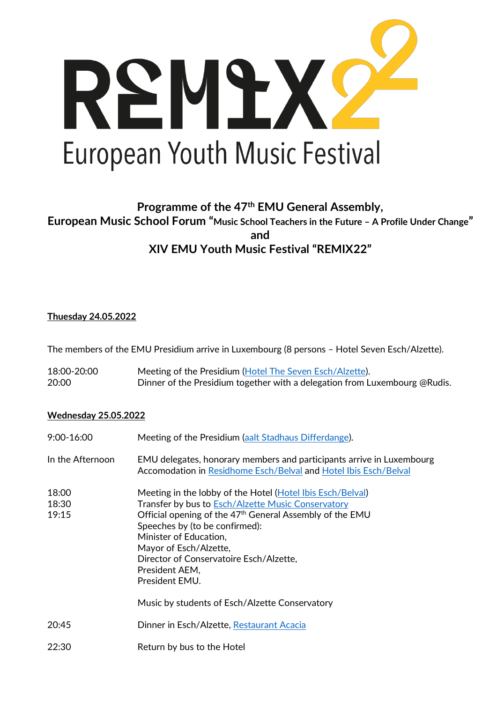

# **Programme of the 47th EMU General Assembly, European Music School Forum "Music School Teachers in the Future – A Profile Under Change" and XIV EMU Youth Music Festival "REMIX22"**

### **Thuesday 24.05.2022**

The members of the EMU Presidium arrive in Luxembourg (8 persons - Hotel Seven Esch/Alzette).

| 18:00-20:00 | Meeting of the Presidium (Hotel The Seven Esch/Alzette).                   |
|-------------|----------------------------------------------------------------------------|
| 20:00       | Dinner of the Presidium together with a delegation from Luxembourg @Rudis. |

#### **Wednesday 25.05.2022**

| $9:00 - 16:00$          | Meeting of the Presidium (aalt Stadhaus Differdange).                                                                                                                                                                                                                                                                                                                                                           |  |  |
|-------------------------|-----------------------------------------------------------------------------------------------------------------------------------------------------------------------------------------------------------------------------------------------------------------------------------------------------------------------------------------------------------------------------------------------------------------|--|--|
| In the Afternoon        | EMU delegates, honorary members and participants arrive in Luxembourg<br>Accomodation in Residhome Esch/Belval and Hotel Ibis Esch/Belval                                                                                                                                                                                                                                                                       |  |  |
| 18:00<br>18:30<br>19:15 | Meeting in the lobby of the Hotel (Hotel Ibis Esch/Belval)<br>Transfer by bus to Esch/Alzette Music Conservatory<br>Official opening of the 47 <sup>th</sup> General Assembly of the EMU<br>Speeches by (to be confirmed):<br>Minister of Education,<br>Mayor of Esch/Alzette,<br>Director of Conservatoire Esch/Alzette,<br>President AEM,<br>President EMU.<br>Music by students of Esch/Alzette Conservatory |  |  |
| 20:45                   | Dinner in Esch/Alzette, Restaurant Acacia                                                                                                                                                                                                                                                                                                                                                                       |  |  |
| 22:30                   | Return by bus to the Hotel                                                                                                                                                                                                                                                                                                                                                                                      |  |  |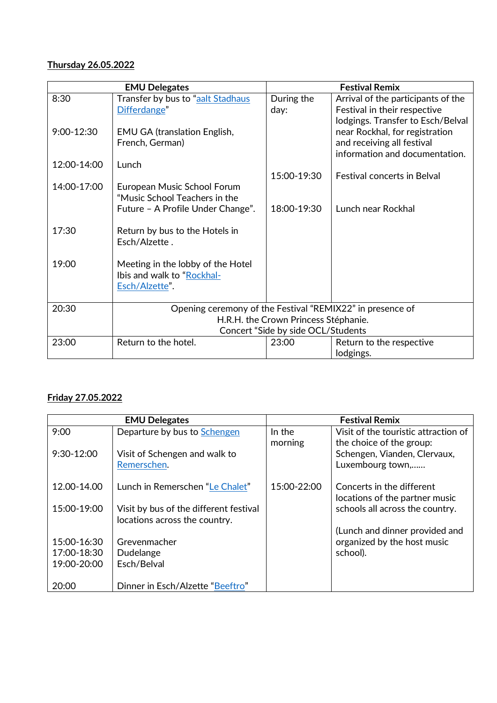## **Thursday 26.05.2022**

| <b>EMU Delegates</b> |                                                                            | <b>Festival Remix</b> |                                       |
|----------------------|----------------------------------------------------------------------------|-----------------------|---------------------------------------|
| 8:30                 | Transfer by bus to "aalt Stadhaus                                          | During the            | Arrival of the participants of the    |
|                      | Differdange"                                                               | day:                  | Festival in their respective          |
|                      |                                                                            |                       | lodgings. Transfer to Esch/Belval     |
| $9:00 - 12:30$       | <b>EMU GA (translation English,</b>                                        |                       | near Rockhal, for registration        |
|                      | French, German)                                                            |                       | and receiving all festival            |
|                      |                                                                            |                       | information and documentation.        |
| 12:00-14:00          | Lunch                                                                      |                       |                                       |
| 14:00-17:00          |                                                                            | 15:00-19:30           | <b>Festival concerts in Belval</b>    |
|                      | European Music School Forum<br>"Music School Teachers in the               |                       |                                       |
|                      | Future - A Profile Under Change".                                          | 18:00-19:30           | Lunch near Rockhal                    |
|                      |                                                                            |                       |                                       |
| 17:30                | Return by bus to the Hotels in                                             |                       |                                       |
|                      | Esch/Alzette.                                                              |                       |                                       |
|                      |                                                                            |                       |                                       |
| 19:00                | Meeting in the lobby of the Hotel                                          |                       |                                       |
|                      | Ibis and walk to "Rockhal-                                                 |                       |                                       |
|                      | Esch/Alzette".                                                             |                       |                                       |
|                      |                                                                            |                       |                                       |
| 20:30                | Opening ceremony of the Festival "REMIX22" in presence of                  |                       |                                       |
|                      | H.R.H. the Crown Princess Stéphanie.<br>Concert "Side by side OCL/Students |                       |                                       |
| 23:00                | Return to the hotel.                                                       | 23:00                 |                                       |
|                      |                                                                            |                       | Return to the respective<br>lodgings. |
|                      |                                                                            |                       |                                       |

## **Friday 27.05.2022**

| <b>EMU Delegates</b> |                                        | <b>Festival Remix</b> |                                      |
|----------------------|----------------------------------------|-----------------------|--------------------------------------|
| 9:00                 | Departure by bus to Schengen           | In the                | Visit of the touristic attraction of |
|                      |                                        | morning               | the choice of the group:             |
| 9:30-12:00           | Visit of Schengen and walk to          |                       | Schengen, Vianden, Clervaux,         |
|                      | Remerschen.                            |                       | Luxembourg town,                     |
|                      |                                        |                       |                                      |
| 12.00-14.00          | Lunch in Remerschen "Le Chalet"        | 15:00-22:00           | Concerts in the different            |
|                      |                                        |                       | locations of the partner music       |
| 15:00-19:00          | Visit by bus of the different festival |                       | schools all across the country.      |
|                      | locations across the country.          |                       |                                      |
|                      |                                        |                       | (Lunch and dinner provided and       |
| 15:00-16:30          | Grevenmacher                           |                       | organized by the host music          |
| 17:00-18:30          | Dudelange                              |                       | school).                             |
| 19:00-20:00          | Esch/Belval                            |                       |                                      |
|                      |                                        |                       |                                      |
| 20:00                | Dinner in Esch/Alzette "Beeftro"       |                       |                                      |